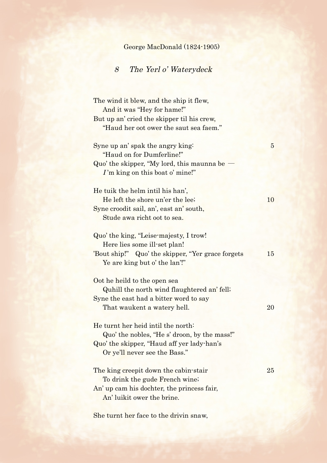## George MacDonald (1824-1905)

## 8 The Yerl o' Waterydeck

| The wind it blew, and the ship it flew,<br>And it was "Hey for hame!"                                                       |                |
|-----------------------------------------------------------------------------------------------------------------------------|----------------|
| But up an' cried the skipper til his crew,<br>"Haud her oot ower the saut sea faem."                                        |                |
| Syne up an' spak the angry king:<br>"Haud on for Dumferline!"<br>Quo' the skipper, "My lord, this maunna be                 | $\overline{5}$ |
| I'm king on this boat o' mine!"                                                                                             |                |
| He tuik the helm intil his han',<br>He left the shore un'er the lee;                                                        | 10             |
| Syne croodit sail, an', east an' south,<br>Stude awa richt oot to sea.                                                      |                |
| Quo' the king, "Leise-majesty, I trow!<br>Here lies some ill-set plan!                                                      |                |
| 'Bout ship!" Quo' the skipper, "Yer grace forgets"<br>Ye are king but o' the lan'!"                                         | 15             |
| Oot he heild to the open sea<br>Quhill the north wind flaughtered an' fell;                                                 |                |
| Syne the east had a bitter word to say<br>That waukent a watery hell.                                                       | 20             |
| He turnt her heid intil the north:                                                                                          |                |
| Quo' the nobles, "He s' droon, by the mass!"<br>Quo' the skipper, "Haud aff yer lady-han's<br>Or ye'll never see the Bass." |                |
| The king creepit down the cabin-stair<br>To drink the gude French wine;                                                     | 25             |
| An' up cam his dochter, the princess fair,<br>An' luikit ower the brine.                                                    |                |
|                                                                                                                             |                |

She turnt her face to the drivin snaw,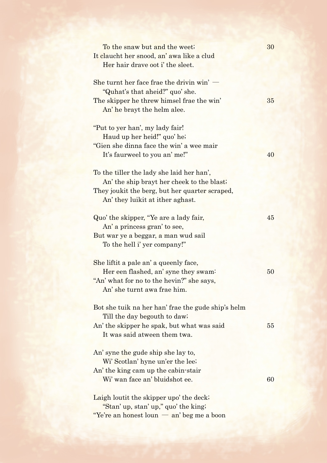| To the snaw but and the weet;                                                 | 30 |
|-------------------------------------------------------------------------------|----|
| It claucht her snood, an' awa like a clud<br>Her hair drave oot i' the sleet. |    |
| She turnt her face frae the drivin $win'$ –                                   |    |
| "Quhat's that aheid?" quo' she.                                               |    |
| The skipper he threw himsel frae the win'                                     | 35 |
| An' he brayt the helm alee.                                                   |    |
| "Put to yer han', my lady fair!"                                              |    |
| Haud up her heid!" quo' he;                                                   |    |
| "Gien she dinna face the win' a wee mair                                      |    |
| It's faurweel to you an' me!"                                                 | 40 |
| To the tiller the lady she laid her han',                                     |    |
| An' the ship brayt her cheek to the blast;                                    |    |
| They joukit the berg, but her quarter scraped,                                |    |
| An' they luikit at ither aghast.                                              |    |
| Quo' the skipper, "Ye are a lady fair,                                        | 45 |
| An' a princess gran' to see,                                                  |    |
| But war ye a beggar, a man wud sail                                           |    |
| To the hell i' yer company!"                                                  |    |
| She liftit a pale an' a queenly face,                                         |    |
| Her een flashed, an' syne they swam:                                          | 50 |
| "An' what for no to the hevin?" she says,                                     |    |
| An' she turnt awa frae him.                                                   |    |
| Bot she tuik na her han' frae the gude ship's helm                            |    |
| Till the day begouth to daw;                                                  |    |
| An' the skipper he spak, but what was said                                    | 55 |
| It was said atween them twa.                                                  |    |
| An' syne the gude ship she lay to,                                            |    |
| Wi' Scotlan' hyne un'er the lee;                                              |    |
| An' the king cam up the cabin-stair                                           |    |
| Wi' wan face an' bluidshot ee.                                                | 60 |
| Laigh lout t the skipper upo' the deck;                                       |    |
| "Stan' up, stan' up," quo' the king;                                          |    |
| "Ye're an honest loun — an' beg me a boon                                     |    |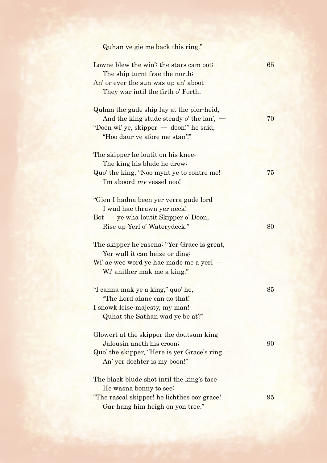| Quhan ye gie me back this ring."                                                                                                                                       |    |
|------------------------------------------------------------------------------------------------------------------------------------------------------------------------|----|
| Lowne blew the win'; the stars cam oot;<br>The ship turnt frae the north;<br>An' or ever the sun was up an' aboot<br>They war intil the firth o' Forth.                | 65 |
| Quhan the gude ship lay at the pier-heid,<br>And the king stude steady o' the $lan'$ , $-$<br>"Doon wi' ye, skipper — doon!" he said,<br>"Hoo daur ye afore me stan'!" | 70 |
| The skipper he loutit on his knee.<br>The king his blade he drew:                                                                                                      |    |
| Quo' the king, "Noo mynt ye to contre me!<br>I'm aboord my vessel noo!                                                                                                 | 75 |
| "Gien I hadna been yer verra gude lord<br>I wud hae thrawn yer neck!<br>$Bot - ye$ wha loutit Skipper o' Doon,<br>Rise up Yerl o' Waterydeck."                         | 80 |
| The skipper he rasena: "Yer Grace is great,<br>Yer wull it can heize or ding:<br>Wi' ae wee word ye hae made me a yerl $-$<br>Wi' anither mak me a king."              |    |
| "I canna mak ye a king," quo' he,<br>"The Lord alane can do that!<br>I snowk leise-majesty, my man!<br>Quhat the Sathan wad ye be at?"                                 | 85 |
| Glowert at the skipper the doutsum king<br>Jalousin aneth his croon;<br>Quo' the skipper, "Here is yer Grace's ring<br>An' yer dochter is my boon!"                    | 90 |
| The black blude shot intil the king's face<br>He wasna bonny to see:                                                                                                   |    |
| "The rascal skipper! he lichtlies oor grace! —<br>Gar hang him heigh on yon tree."                                                                                     | 95 |